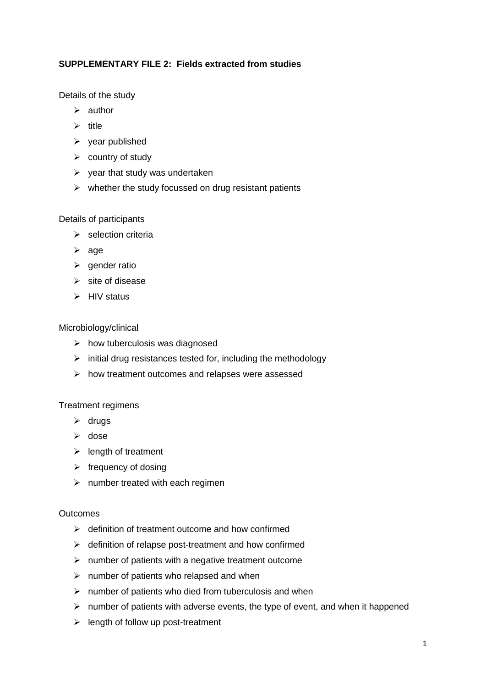# **SUPPLEMENTARY FILE 2: Fields extracted from studies**

Details of the study

- $\triangleright$  author
- $\triangleright$  title
- $\triangleright$  year published
- $\triangleright$  country of study
- $\triangleright$  year that study was undertaken
- $\triangleright$  whether the study focussed on drug resistant patients

## Details of participants

- $\triangleright$  selection criteria
- $\triangleright$  age
- $\triangleright$  gender ratio
- $\triangleright$  site of disease
- $\triangleright$  HIV status

### Microbiology/clinical

- $\triangleright$  how tuberculosis was diagnosed
- $\triangleright$  initial drug resistances tested for, including the methodology
- $\triangleright$  how treatment outcomes and relapses were assessed

## Treatment regimens

- $\triangleright$  drugs
- $\triangleright$  dose
- $\blacktriangleright$  length of treatment
- $\triangleright$  frequency of dosing
- $\triangleright$  number treated with each regimen

#### **Outcomes**

- $\triangleright$  definition of treatment outcome and how confirmed
- $\triangleright$  definition of relapse post-treatment and how confirmed
- $\triangleright$  number of patients with a negative treatment outcome
- $\triangleright$  number of patients who relapsed and when
- $\triangleright$  number of patients who died from tuberculosis and when
- $\triangleright$  number of patients with adverse events, the type of event, and when it happened
- $\triangleright$  length of follow up post-treatment